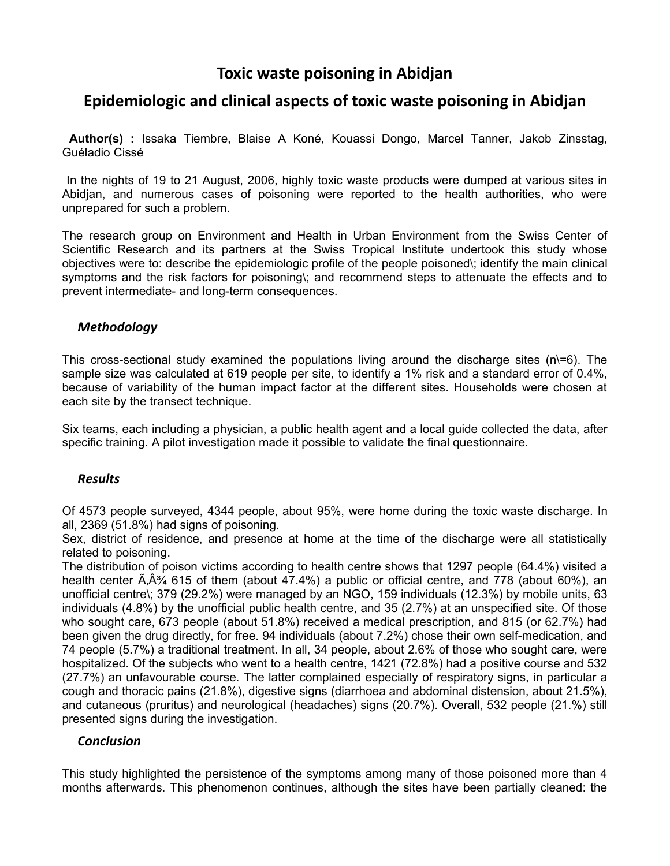# **Toxic waste poisoning in Abidjan**

# **Epidemiologic and clinical aspects of toxic waste poisoning in Abidjan**

 **Author(s) :** Issaka Tiembre, Blaise A Koné, Kouassi Dongo, Marcel Tanner, Jakob Zinsstag, Guéladio Cissé

 In the nights of 19 to 21 August, 2006, highly toxic waste products were dumped at various sites in Abidjan, and numerous cases of poisoning were reported to the health authorities, who were unprepared for such a problem.

The research group on Environment and Health in Urban Environment from the Swiss Center of Scientific Research and its partners at the Swiss Tropical Institute undertook this study whose objectives were to: describe the epidemiologic profile of the people poisoned\; identify the main clinical symptoms and the risk factors for poisoning\; and recommend steps to attenuate the effects and to prevent intermediate- and long-term consequences.

### *Methodology*

This cross-sectional study examined the populations living around the discharge sites  $(n)=6$ ). The sample size was calculated at 619 people per site, to identify a 1% risk and a standard error of 0.4%, because of variability of the human impact factor at the different sites. Households were chosen at each site by the transect technique.

Six teams, each including a physician, a public health agent and a local guide collected the data, after specific training. A pilot investigation made it possible to validate the final questionnaire.

### *Results*

Of 4573 people surveyed, 4344 people, about 95%, were home during the toxic waste discharge. In all, 2369 (51.8%) had signs of poisoning.

Sex, district of residence, and presence at home at the time of the discharge were all statistically related to poisoning.

The distribution of poison victims according to health centre shows that 1297 people (64.4%) visited a health center  $\tilde{A}$ ,  $\tilde{A}^2$  615 of them (about 47.4%) a public or official centre, and 778 (about 60%), an unofficial centre\; 379 (29.2%) were managed by an NGO, 159 individuals (12.3%) by mobile units, 63 individuals (4.8%) by the unofficial public health centre, and 35 (2.7%) at an unspecified site. Of those who sought care, 673 people (about 51.8%) received a medical prescription, and 815 (or 62.7%) had been given the drug directly, for free. 94 individuals (about 7.2%) chose their own self-medication, and 74 people (5.7%) a traditional treatment. In all, 34 people, about 2.6% of those who sought care, were hospitalized. Of the subjects who went to a health centre, 1421 (72.8%) had a positive course and 532 (27.7%) an unfavourable course. The latter complained especially of respiratory signs, in particular a cough and thoracic pains (21.8%), digestive signs (diarrhoea and abdominal distension, about 21.5%), and cutaneous (pruritus) and neurological (headaches) signs (20.7%). Overall, 532 people (21.%) still presented signs during the investigation.

#### *Conclusion*

This study highlighted the persistence of the symptoms among many of those poisoned more than 4 months afterwards. This phenomenon continues, although the sites have been partially cleaned: the